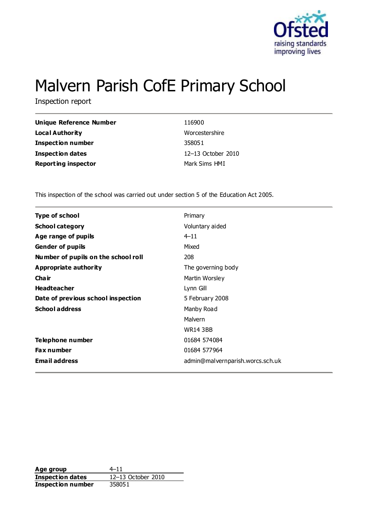

# Malvern Parish CofE Primary School

Inspection report

| <b>Unique Reference Number</b> | 116900             |
|--------------------------------|--------------------|
| <b>Local Authority</b>         | Worcestershire     |
| <b>Inspection number</b>       | 358051             |
| <b>Inspection dates</b>        | 12-13 October 2010 |
| <b>Reporting inspector</b>     | Mark Sims HMI      |

This inspection of the school was carried out under section 5 of the Education Act 2005.

| <b>Type of school</b>               | Primary                          |
|-------------------------------------|----------------------------------|
| <b>School category</b>              | Voluntary aided                  |
| Age range of pupils                 | $4 - 11$                         |
| <b>Gender of pupils</b>             | Mixed                            |
| Number of pupils on the school roll | 208                              |
| Appropriate authority               | The governing body               |
| Cha ir                              | Martin Worsley                   |
| <b>Headteacher</b>                  | Lynn Gill                        |
| Date of previous school inspection  | 5 February 2008                  |
| <b>School address</b>               | Manby Road                       |
|                                     | Malvern                          |
|                                     | <b>WR14 3BB</b>                  |
| Telephone number                    | 01684 574084                     |
| <b>Fax number</b>                   | 01684 577964                     |
| <b>Email address</b>                | admin@malvernparish.worcs.sch.uk |

**Age group** 4–11 **Inspection dates** 12–13 October 2010 **Inspection number** 358051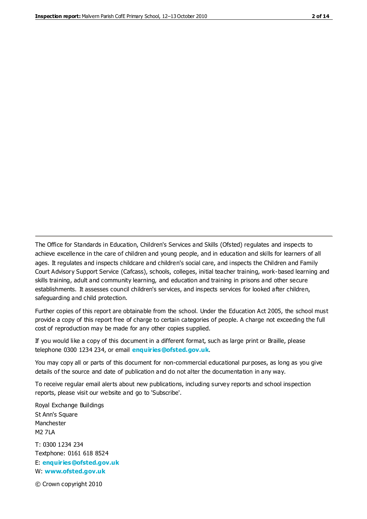The Office for Standards in Education, Children's Services and Skills (Ofsted) regulates and inspects to achieve excellence in the care of children and young people, and in education and skills for learners of all ages. It regulates and inspects childcare and children's social care, and inspects the Children and Family Court Advisory Support Service (Cafcass), schools, colleges, initial teacher training, work-based learning and skills training, adult and community learning, and education and training in prisons and other secure establishments. It assesses council children's services, and inspects services for looked after children, safeguarding and child protection.

Further copies of this report are obtainable from the school. Under the Education Act 2005, the school must provide a copy of this report free of charge to certain categories of people. A charge not exceeding the full cost of reproduction may be made for any other copies supplied.

If you would like a copy of this document in a different format, such as large print or Braille, please telephone 0300 1234 234, or email **[enquiries@ofsted.gov.uk](mailto:enquiries@ofsted.gov.uk)**.

You may copy all or parts of this document for non-commercial educational purposes, as long as you give details of the source and date of publication and do not alter the documentation in any way.

To receive regular email alerts about new publications, including survey reports and school inspection reports, please visit our website and go to 'Subscribe'.

Royal Exchange Buildings St Ann's Square Manchester M2 7LA T: 0300 1234 234 Textphone: 0161 618 8524 E: **[enquiries@ofsted.gov.uk](mailto:enquiries@ofsted.gov.uk)** W: **[www.ofsted.gov.uk](http://www.ofsted.gov.uk/)**

© Crown copyright 2010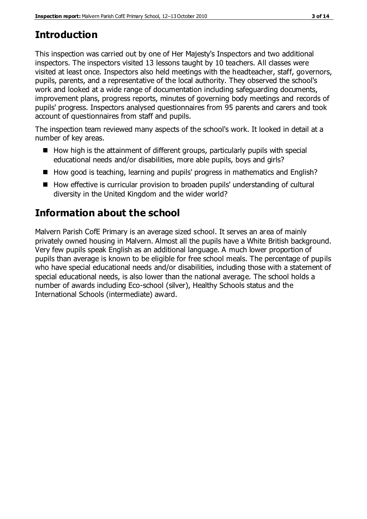# **Introduction**

This inspection was carried out by one of Her Majesty's Inspectors and two additional inspectors. The inspectors visited 13 lessons taught by 10 teachers. All classes were visited at least once. Inspectors also held meetings with the headteacher, staff, governors, pupils, parents, and a representative of the local authority. They observed the school's work and looked at a wide range of documentation including safeguarding documents, improvement plans, progress reports, minutes of governing body meetings and records of pupils' progress. Inspectors analysed questionnaires from 95 parents and carers and took account of questionnaires from staff and pupils.

The inspection team reviewed many aspects of the school's work. It looked in detail at a number of key areas.

- $\blacksquare$  How high is the attainment of different groups, particularly pupils with special educational needs and/or disabilities, more able pupils, boys and girls?
- How good is teaching, learning and pupils' progress in mathematics and English?
- How effective is curricular provision to broaden pupils' understanding of cultural diversity in the United Kingdom and the wider world?

# **Information about the school**

Malvern Parish CofE Primary is an average sized school. It serves an area of mainly privately owned housing in Malvern. Almost all the pupils have a White British background. Very few pupils speak English as an additional language. A much lower proportion of pupils than average is known to be eligible for free school meals. The percentage of pupils who have special educational needs and/or disabilities, including those with a statement of special educational needs, is also lower than the national average. The school holds a number of awards including Eco-school (silver), Healthy Schools status and the International Schools (intermediate) award.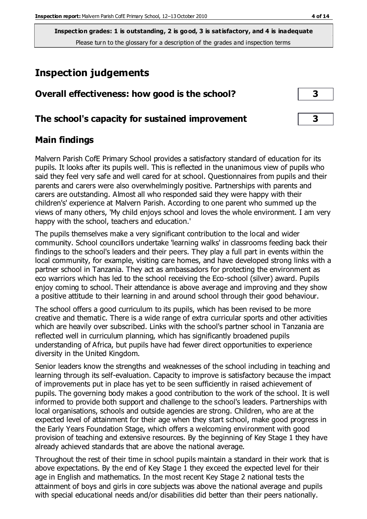# **Inspection judgements**

| Overall effectiveness: how good is the school?  |  |  |
|-------------------------------------------------|--|--|
| The school's capacity for sustained improvement |  |  |

## **Main findings**

Malvern Parish CofE Primary School provides a satisfactory standard of education for its pupils. It looks after its pupils well. This is reflected in the unanimous view of pupils who said they feel very safe and well cared for at school. Questionnaires from pupils and their parents and carers were also overwhelmingly positive. Partnerships with parents and carers are outstanding. Almost all who responded said they were happy with their children's' experience at Malvern Parish. According to one parent who summed up the views of many others, 'My child enjoys school and loves the whole environment. I am very happy with the school, teachers and education.'

The pupils themselves make a very significant contribution to the local and wider community. School councillors undertake 'learning walks' in classrooms feeding back their findings to the school's leaders and their peers. They play a full part in events within the local community, for example, visiting care homes, and have developed strong links with a partner school in Tanzania. They act as ambassadors for protecting the environment as eco warriors which has led to the school receiving the Eco-school (silver) award. Pupils enjoy coming to school. Their attendance is above average and improving and they show a positive attitude to their learning in and around school through their good behaviour.

The school offers a good curriculum to its pupils, which has been revised to be more creative and thematic. There is a wide range of extra curricular sports and other activities which are heavily over subscribed. Links with the school's partner school in Tanzania are reflected well in curriculum planning, which has significantly broadened pupils understanding of Africa, but pupils have had fewer direct opportunities to experience diversity in the United Kingdom.

Senior leaders know the strengths and weaknesses of the school including in teaching and learning through its self-evaluation. Capacity to improve is satisfactory because the impact of improvements put in place has yet to be seen sufficiently in raised achievement of pupils. The governing body makes a good contribution to the work of the school. It is well informed to provide both support and challenge to the school's leaders. Partnerships with local organisations, schools and outside agencies are strong. Children, who are at the expected level of attainment for their age when they start school, make good progress in the Early Years Foundation Stage, which offers a welcoming environment with good provision of teaching and extensive resources. By the beginning of Key Stage 1 they have already achieved standards that are above the national average.

Throughout the rest of their time in school pupils maintain a standard in their work that is above expectations. By the end of Key Stage 1 they exceed the expected level for their age in English and mathematics. In the most recent Key Stage 2 national tests the attainment of boys and girls in core subjects was above the national average and pupils with special educational needs and/or disabilities did better than their peers nationally.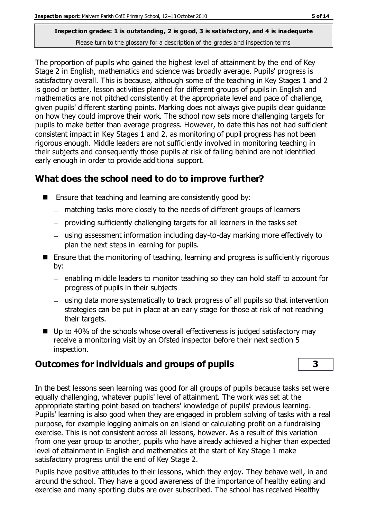The proportion of pupils who gained the highest level of attainment by the end of Key Stage 2 in English, mathematics and science was broadly average. Pupils' progress is satisfactory overall. This is because, although some of the teaching in Key Stages 1 and 2 is good or better, lesson activities planned for different groups of pupils in English and mathematics are not pitched consistently at the appropriate level and pace of challenge, given pupils' different starting points. Marking does not always give pupils clear guidance on how they could improve their work. The school now sets more challenging targets for pupils to make better than average progress. However, to date this has not had sufficient consistent impact in Key Stages 1 and 2, as monitoring of pupil progress has not been rigorous enough. Middle leaders are not sufficiently involved in monitoring teaching in their subjects and consequently those pupils at risk of falling behind are not identified early enough in order to provide additional support.

# **What does the school need to do to improve further?**

- $\blacksquare$  Ensure that teaching and learning are consistently good by:
	- matching tasks more closely to the needs of different groups of learners
	- providing sufficiently challenging targets for all learners in the tasks set
	- using assessment information including day-to-day marking more effectively to plan the next steps in learning for pupils.
- Ensure that the monitoring of teaching, learning and progress is sufficiently rigorous by:
	- enabling middle leaders to monitor teaching so they can hold staff to account for progress of pupils in their subjects
	- using data more systematically to track progress of all pupils so that intervention strategies can be put in place at an early stage for those at risk of not reaching their targets.
- Up to 40% of the schools whose overall effectiveness is judged satisfactory may receive a monitoring visit by an Ofsted inspector before their next section 5 inspection.

# **Outcomes for individuals and groups of pupils 3**

In the best lessons seen learning was good for all groups of pupils because tasks set were equally challenging, whatever pupils' level of attainment. The work was set at the appropriate starting point based on teachers' knowledge of pupils' previous learning. Pupils' learning is also good when they are engaged in problem solving of tasks with a real purpose, for example logging animals on an island or calculating profit on a fundraising exercise. This is not consistent across all lessons, however. As a result of this variation from one year group to another, pupils who have already achieved a higher than expected level of attainment in English and mathematics at the start of Key Stage 1 make satisfactory progress until the end of Key Stage 2.

Pupils have positive attitudes to their lessons, which they enjoy. They behave well, in and around the school. They have a good awareness of the importance of healthy eating and exercise and many sporting clubs are over subscribed. The school has received Healthy

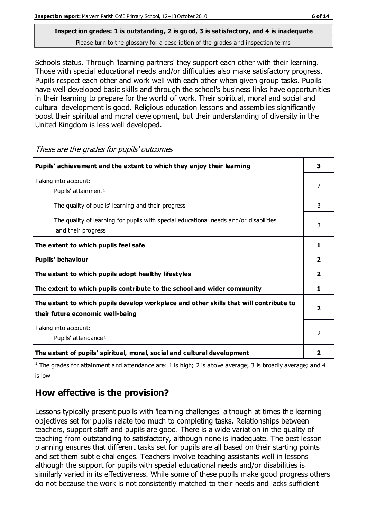# **Inspection grades: 1 is outstanding, 2 is good, 3 is satisfactory, and 4 is inadequate**

Please turn to the glossary for a description of the grades and inspection terms

Schools status. Through 'learning partners' they support each other with their learning. Those with special educational needs and/or difficulties also make satisfactory progress. Pupils respect each other and work well with each other when given group tasks. Pupils have well developed basic skills and through the school's business links have opportunities in their learning to prepare for the world of work. Their spiritual, moral and social and cultural development is good. Religious education lessons and assemblies significantly boost their spiritual and moral development, but their understanding of diversity in the United Kingdom is less well developed.

| Pupils' achievement and the extent to which they enjoy their learning                                                     | 3                       |
|---------------------------------------------------------------------------------------------------------------------------|-------------------------|
| Taking into account:<br>Pupils' attainment <sup>1</sup>                                                                   | $\mathcal{P}$           |
| The quality of pupils' learning and their progress                                                                        | 3                       |
| The quality of learning for pupils with special educational needs and/or disabilities<br>and their progress               | 3                       |
| The extent to which pupils feel safe                                                                                      | 1                       |
| Pupils' behaviour                                                                                                         | $\overline{2}$          |
| The extent to which pupils adopt healthy lifestyles                                                                       | $\overline{2}$          |
| The extent to which pupils contribute to the school and wider community                                                   | 1                       |
| The extent to which pupils develop workplace and other skills that will contribute to<br>their future economic well-being | $\overline{\mathbf{2}}$ |
| Taking into account:<br>Pupils' attendance <sup>1</sup>                                                                   | $\mathcal{P}$           |
| The extent of pupils' spiritual, moral, social and cultural development                                                   | 2                       |

These are the grades for pupils' outcomes

<sup>1</sup> The grades for attainment and attendance are: 1 is high; 2 is above average; 3 is broadly average; and 4 is low

# **How effective is the provision?**

Lessons typically present pupils with 'learning challenges' although at times the learning objectives set for pupils relate too much to completing tasks. Relationships between teachers, support staff and pupils are good. There is a wide variation in the quality of teaching from outstanding to satisfactory, although none is inadequate. The best lesson planning ensures that different tasks set for pupils are all based on their starting points and set them subtle challenges. Teachers involve teaching assistants well in lessons although the support for pupils with special educational needs and/or disabilities is similarly varied in its effectiveness. While some of these pupils make good progress others do not because the work is not consistently matched to their needs and lacks sufficient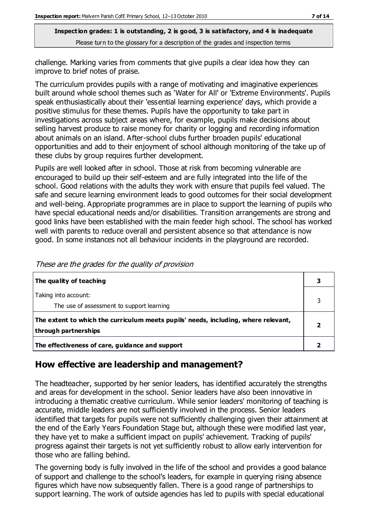challenge. Marking varies from comments that give pupils a clear idea how they can improve to brief notes of praise.

The curriculum provides pupils with a range of motivating and imaginative experiences built around whole school themes such as 'Water for All' or 'Extreme Environments'. Pupils speak enthusiastically about their 'essential learning experience' days, which provide a positive stimulus for these themes. Pupils have the opportunity to take part in investigations across subject areas where, for example, pupils make decisions about selling harvest produce to raise money for charity or logging and recording information about animals on an island. After-school clubs further broaden pupils' educational opportunities and add to their enjoyment of school although monitoring of the take up of these clubs by group requires further development.

Pupils are well looked after in school. Those at risk from becoming vulnerable are encouraged to build up their self-esteem and are fully integrated into the life of the school. Good relations with the adults they work with ensure that pupils feel valued. The safe and secure learning environment leads to good outcomes for their social development and well-being. Appropriate programmes are in place to support the learning of pupils who have special educational needs and/or disabilities. Transition arrangements are strong and good links have been established with the main feeder high school. The school has worked well with parents to reduce overall and persistent absence so that attendance is now good. In some instances not all behaviour incidents in the playground are recorded.

| The quality of teaching                                                                                    |  |
|------------------------------------------------------------------------------------------------------------|--|
| Taking into account:<br>The use of assessment to support learning                                          |  |
| The extent to which the curriculum meets pupils' needs, including, where relevant,<br>through partnerships |  |
| The effectiveness of care, guidance and support                                                            |  |

# **How effective are leadership and management?**

The headteacher, supported by her senior leaders, has identified accurately the strengths and areas for development in the school. Senior leaders have also been innovative in introducing a thematic creative curriculum. While senior leaders' monitoring of teaching is accurate, middle leaders are not sufficiently involved in the process. Senior leaders identified that targets for pupils were not sufficiently challenging given their attainment at the end of the Early Years Foundation Stage but, although these were modified last year, they have yet to make a sufficient impact on pupils' achievement. Tracking of pupils' progress against their targets is not yet sufficiently robust to allow early intervention for those who are falling behind.

The governing body is fully involved in the life of the school and provides a good balance of support and challenge to the school's leaders, for example in querying rising absence figures which have now subsequently fallen. There is a good range of partnerships to support learning. The work of outside agencies has led to pupils with special educational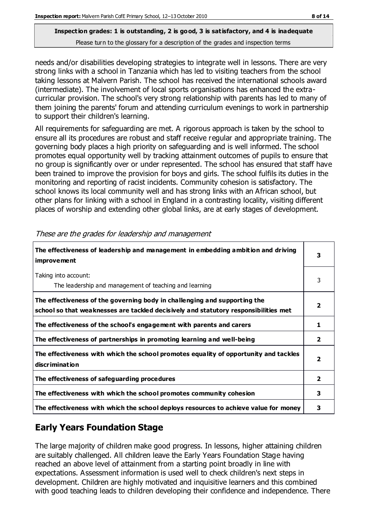needs and/or disabilities developing strategies to integrate well in lessons. There are very strong links with a school in Tanzania which has led to visiting teachers from the school taking lessons at Malvern Parish. The school has received the international schools award (intermediate). The involvement of local sports organisations has enhanced the extracurricular provision. The school's very strong relationship with parents has led to many of them joining the parents' forum and attending curriculum evenings to work in partnership to support their children's learning.

All requirements for safeguarding are met. A rigorous approach is taken by the school to ensure all its procedures are robust and staff receive regular and appropriate training. The governing body places a high priority on safeguarding and is well informed. The school promotes equal opportunity well by tracking attainment outcomes of pupils to ensure that no group is significantly over or under represented. The school has ensured that staff have been trained to improve the provision for boys and girls. The school fulfils its duties in the monitoring and reporting of racist incidents. Community cohesion is satisfactory. The school knows its local community well and has strong links with an African school, but other plans for linking with a school in England in a contrasting locality, visiting different places of worship and extending other global links, are at early stages of development.

| The effectiveness of leadership and management in embedding ambition and driving<br><i>improvement</i>                                                           |                         |
|------------------------------------------------------------------------------------------------------------------------------------------------------------------|-------------------------|
| Taking into account:<br>The leadership and management of teaching and learning                                                                                   | 3                       |
| The effectiveness of the governing body in challenging and supporting the<br>school so that weaknesses are tackled decisively and statutory responsibilities met | $\overline{\mathbf{2}}$ |
| The effectiveness of the school's engagement with parents and carers                                                                                             | 1                       |
| The effectiveness of partnerships in promoting learning and well-being                                                                                           | $\overline{\mathbf{2}}$ |
| The effectiveness with which the school promotes equality of opportunity and tackles<br>discrimination                                                           | $\overline{2}$          |
| The effectiveness of safeguarding procedures                                                                                                                     | $\overline{2}$          |
| The effectiveness with which the school promotes community cohesion                                                                                              | 3                       |
| The effectiveness with which the school deploys resources to achieve value for money                                                                             |                         |

#### These are the grades for leadership and management

# **Early Years Foundation Stage**

The large majority of children make good progress. In lessons, higher attaining children are suitably challenged. All children leave the Early Years Foundation Stage having reached an above level of attainment from a starting point broadly in line with expectations. Assessment information is used well to check children's next steps in development. Children are highly motivated and inquisitive learners and this combined with good teaching leads to children developing their confidence and independence. There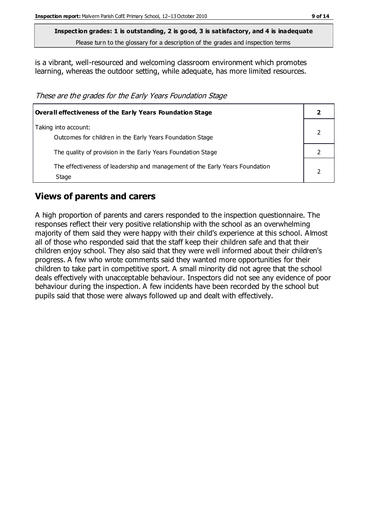is a vibrant, well-resourced and welcoming classroom environment which promotes learning, whereas the outdoor setting, while adequate, has more limited resources.

These are the grades for the Early Years Foundation Stage

| Overall effectiveness of the Early Years Foundation Stage                             |  |
|---------------------------------------------------------------------------------------|--|
| Taking into account:<br>Outcomes for children in the Early Years Foundation Stage     |  |
| The quality of provision in the Early Years Foundation Stage                          |  |
| The effectiveness of leadership and management of the Early Years Foundation<br>Stage |  |

### **Views of parents and carers**

A high proportion of parents and carers responded to the inspection questionnaire. The responses reflect their very positive relationship with the school as an overwhelming majority of them said they were happy with their child's experience at this school. Almost all of those who responded said that the staff keep their children safe and that their children enjoy school. They also said that they were well informed about their children's progress. A few who wrote comments said they wanted more opportunities for their children to take part in competitive sport. A small minority did not agree that the school deals effectively with unacceptable behaviour. Inspectors did not see any evidence of poor behaviour during the inspection. A few incidents have been recorded by the school but pupils said that those were always followed up and dealt with effectively.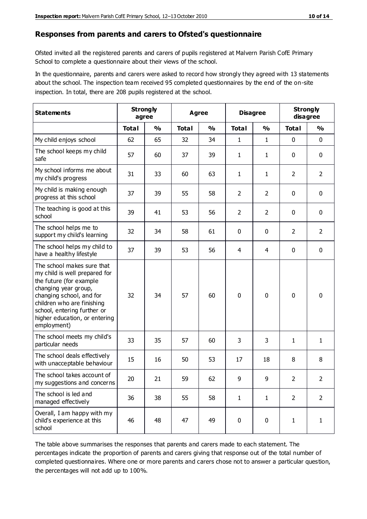#### **Responses from parents and carers to Ofsted's questionnaire**

Ofsted invited all the registered parents and carers of pupils registered at Malvern Parish CofE Primary School to complete a questionnaire about their views of the school.

In the questionnaire, parents and carers were asked to record how strongly they agreed with 13 statements about the school. The inspection team received 95 completed questionnaires by the end of the on-site inspection. In total, there are 208 pupils registered at the school.

| <b>Statements</b>                                                                                                                                                                                                                                       | <b>Strongly</b><br>agree |               | Agree        |               | <b>Disagree</b> |                | <b>Strongly</b><br>disagree |                |
|---------------------------------------------------------------------------------------------------------------------------------------------------------------------------------------------------------------------------------------------------------|--------------------------|---------------|--------------|---------------|-----------------|----------------|-----------------------------|----------------|
|                                                                                                                                                                                                                                                         | <b>Total</b>             | $\frac{0}{0}$ | <b>Total</b> | $\frac{0}{0}$ | <b>Total</b>    | $\frac{0}{0}$  | <b>Total</b>                | $\frac{0}{0}$  |
| My child enjoys school                                                                                                                                                                                                                                  | 62                       | 65            | 32           | 34            | 1               | $\mathbf{1}$   | $\mathbf 0$                 | $\mathbf 0$    |
| The school keeps my child<br>safe                                                                                                                                                                                                                       | 57                       | 60            | 37           | 39            | 1               | $\mathbf{1}$   | $\mathbf 0$                 | $\mathbf 0$    |
| My school informs me about<br>my child's progress                                                                                                                                                                                                       | 31                       | 33            | 60           | 63            | 1               | $\mathbf{1}$   | $\overline{2}$              | $\overline{2}$ |
| My child is making enough<br>progress at this school                                                                                                                                                                                                    | 37                       | 39            | 55           | 58            | $\overline{2}$  | $\overline{2}$ | 0                           | $\mathbf 0$    |
| The teaching is good at this<br>school                                                                                                                                                                                                                  | 39                       | 41            | 53           | 56            | $\overline{2}$  | $\overline{2}$ | $\mathbf 0$                 | $\mathbf 0$    |
| The school helps me to<br>support my child's learning                                                                                                                                                                                                   | 32                       | 34            | 58           | 61            | 0               | 0              | $\overline{2}$              | $\overline{2}$ |
| The school helps my child to<br>have a healthy lifestyle                                                                                                                                                                                                | 37                       | 39            | 53           | 56            | 4               | $\overline{4}$ | $\mathbf 0$                 | $\mathbf 0$    |
| The school makes sure that<br>my child is well prepared for<br>the future (for example<br>changing year group,<br>changing school, and for<br>children who are finishing<br>school, entering further or<br>higher education, or entering<br>employment) | 32                       | 34            | 57           | 60            | $\mathbf 0$     | 0              | $\mathbf 0$                 | $\mathbf 0$    |
| The school meets my child's<br>particular needs                                                                                                                                                                                                         | 33                       | 35            | 57           | 60            | 3               | 3              | $\mathbf{1}$                | 1              |
| The school deals effectively<br>with unacceptable behaviour                                                                                                                                                                                             | 15                       | 16            | 50           | 53            | 17              | 18             | 8                           | 8              |
| The school takes account of<br>my suggestions and concerns                                                                                                                                                                                              | 20                       | 21            | 59           | 62            | 9               | 9              | $\overline{2}$              | 2              |
| The school is led and<br>managed effectively                                                                                                                                                                                                            | 36                       | 38            | 55           | 58            | $\mathbf{1}$    | $\mathbf{1}$   | $\overline{2}$              | $\overline{2}$ |
| Overall, I am happy with my<br>child's experience at this<br>school                                                                                                                                                                                     | 46                       | 48            | 47           | 49            | $\pmb{0}$       | 0              | $\mathbf{1}$                | $\mathbf{1}$   |

The table above summarises the responses that parents and carers made to each statement. The percentages indicate the proportion of parents and carers giving that response out of the total number of completed questionnaires. Where one or more parents and carers chose not to answer a particular question, the percentages will not add up to 100%.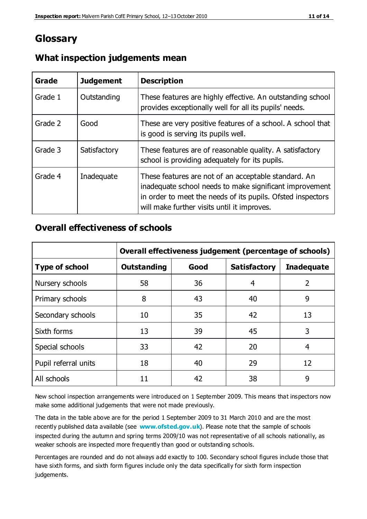# **Glossary**

| Grade   | <b>Judgement</b> | <b>Description</b>                                                                                                                                                                                                            |
|---------|------------------|-------------------------------------------------------------------------------------------------------------------------------------------------------------------------------------------------------------------------------|
| Grade 1 | Outstanding      | These features are highly effective. An outstanding school<br>provides exceptionally well for all its pupils' needs.                                                                                                          |
| Grade 2 | Good             | These are very positive features of a school. A school that<br>is good is serving its pupils well.                                                                                                                            |
| Grade 3 | Satisfactory     | These features are of reasonable quality. A satisfactory<br>school is providing adequately for its pupils.                                                                                                                    |
| Grade 4 | Inadequate       | These features are not of an acceptable standard. An<br>inadequate school needs to make significant improvement<br>in order to meet the needs of its pupils. Ofsted inspectors<br>will make further visits until it improves. |

### **What inspection judgements mean**

### **Overall effectiveness of schools**

|                       | Overall effectiveness judgement (percentage of schools) |      |                     |                   |
|-----------------------|---------------------------------------------------------|------|---------------------|-------------------|
| <b>Type of school</b> | <b>Outstanding</b>                                      | Good | <b>Satisfactory</b> | <b>Inadequate</b> |
| Nursery schools       | 58                                                      | 36   | 4                   | $\overline{2}$    |
| Primary schools       | 8                                                       | 43   | 40                  | 9                 |
| Secondary schools     | 10                                                      | 35   | 42                  | 13                |
| Sixth forms           | 13                                                      | 39   | 45                  | 3                 |
| Special schools       | 33                                                      | 42   | 20                  | 4                 |
| Pupil referral units  | 18                                                      | 40   | 29                  | 12                |
| All schools           | 11                                                      | 42   | 38                  | 9                 |

New school inspection arrangements were introduced on 1 September 2009. This means that inspectors now make some additional judgements that were not made previously.

The data in the table above are for the period 1 September 2009 to 31 March 2010 and are the most recently published data available (see **[www.ofsted.gov.uk](http://www.ofsted.gov.uk/)**). Please note that the sample of schools inspected during the autumn and spring terms 2009/10 was not representative of all schools nationally, as weaker schools are inspected more frequently than good or outstanding schools.

Percentages are rounded and do not always add exactly to 100. Secondary school figures include those that have sixth forms, and sixth form figures include only the data specifically for sixth form inspection judgements.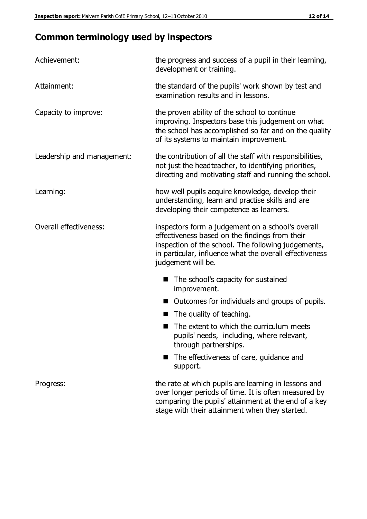# **Common terminology used by inspectors**

| Achievement:               | the progress and success of a pupil in their learning,<br>development or training.                                                                                                                                                          |  |  |
|----------------------------|---------------------------------------------------------------------------------------------------------------------------------------------------------------------------------------------------------------------------------------------|--|--|
| Attainment:                | the standard of the pupils' work shown by test and<br>examination results and in lessons.                                                                                                                                                   |  |  |
| Capacity to improve:       | the proven ability of the school to continue<br>improving. Inspectors base this judgement on what<br>the school has accomplished so far and on the quality<br>of its systems to maintain improvement.                                       |  |  |
| Leadership and management: | the contribution of all the staff with responsibilities,<br>not just the headteacher, to identifying priorities,<br>directing and motivating staff and running the school.                                                                  |  |  |
| Learning:                  | how well pupils acquire knowledge, develop their<br>understanding, learn and practise skills and are<br>developing their competence as learners.                                                                                            |  |  |
| Overall effectiveness:     | inspectors form a judgement on a school's overall<br>effectiveness based on the findings from their<br>inspection of the school. The following judgements,<br>in particular, influence what the overall effectiveness<br>judgement will be. |  |  |
|                            | The school's capacity for sustained<br>improvement.                                                                                                                                                                                         |  |  |
|                            | Outcomes for individuals and groups of pupils.                                                                                                                                                                                              |  |  |
|                            | The quality of teaching.                                                                                                                                                                                                                    |  |  |
|                            | The extent to which the curriculum meets<br>pupils' needs, including, where relevant,<br>through partnerships.                                                                                                                              |  |  |
|                            | The effectiveness of care, guidance and<br>support.                                                                                                                                                                                         |  |  |
| Progress:                  | the rate at which pupils are learning in lessons and<br>over longer periods of time. It is often measured by<br>comparing the pupils' attainment at the end of a key                                                                        |  |  |

stage with their attainment when they started.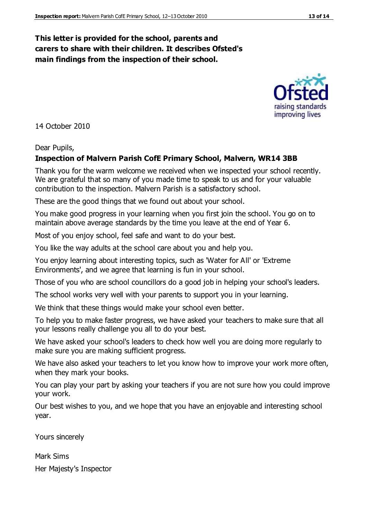### **This letter is provided for the school, parents and carers to share with their children. It describes Ofsted's main findings from the inspection of their school.**

14 October 2010

#### Dear Pupils,

#### **Inspection of Malvern Parish CofE Primary School, Malvern, WR14 3BB**

Thank you for the warm welcome we received when we inspected your school recently. We are grateful that so many of you made time to speak to us and for your valuable contribution to the inspection. Malvern Parish is a satisfactory school.

These are the good things that we found out about your school.

You make good progress in your learning when you first join the school. You go on to maintain above average standards by the time you leave at the end of Year 6.

Most of you enjoy school, feel safe and want to do your best.

You like the way adults at the school care about you and help you.

You enjoy learning about interesting topics, such as 'Water for All' or 'Extreme Environments', and we agree that learning is fun in your school.

Those of you who are school councillors do a good job in helping your school's leaders.

The school works very well with your parents to support you in your learning.

We think that these things would make your school even better.

To help you to make faster progress, we have asked your teachers to make sure that all your lessons really challenge you all to do your best.

We have asked your school's leaders to check how well you are doing more regularly to make sure you are making sufficient progress.

We have also asked your teachers to let you know how to improve your work more often, when they mark your books.

You can play your part by asking your teachers if you are not sure how you could improve your work.

Our best wishes to you, and we hope that you have an enjoyable and interesting school year.

Yours sincerely

Mark Sims Her Majesty's Inspector